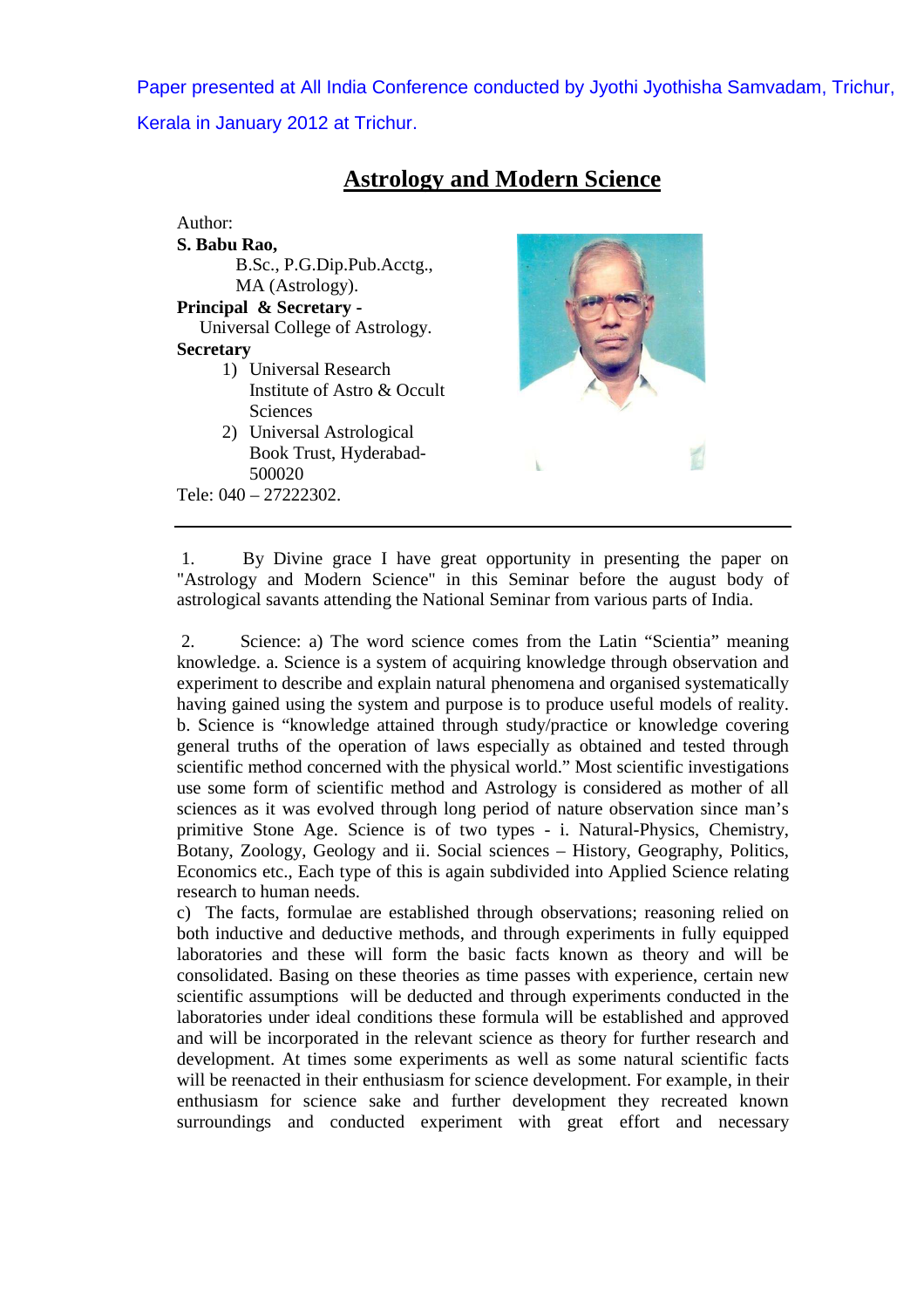Paper presented at All India Conference conducted by Jyothi Jyothisha Samvadam, Trichur, Kerala in January 2012 at Trichur.

| Author:                         |  |
|---------------------------------|--|
| S. Babu Rao,                    |  |
| B.Sc., P.G.Dip.Pub.Acctg.,      |  |
| MA (Astrology).                 |  |
| Principal & Secretary -         |  |
| Universal College of Astrology. |  |
| <b>Secretary</b>                |  |
| 1) Universal Research           |  |
| Institute of Astro & Occult     |  |
| <b>Sciences</b>                 |  |
| 2) Universal Astrological       |  |
| Book Trust, Hyderabad-          |  |
| 500020                          |  |
| Tele: $040 - 27222302$ .        |  |

## **Astrology and Modern Science**

 1. By Divine grace I have great opportunity in presenting the paper on "Astrology and Modern Science" in this Seminar before the august body of astrological savants attending the National Seminar from various parts of India.

 2. Science: a) The word science comes from the Latin "Scientia" meaning knowledge. a. Science is a system of acquiring knowledge through observation and experiment to describe and explain natural phenomena and organised systematically having gained using the system and purpose is to produce useful models of reality. b. Science is "knowledge attained through study/practice or knowledge covering general truths of the operation of laws especially as obtained and tested through scientific method concerned with the physical world." Most scientific investigations use some form of scientific method and Astrology is considered as mother of all sciences as it was evolved through long period of nature observation since man's primitive Stone Age. Science is of two types - i. Natural-Physics, Chemistry, Botany, Zoology, Geology and ii. Social sciences – History, Geography, Politics, Economics etc., Each type of this is again subdivided into Applied Science relating research to human needs.

c) The facts, formulae are established through observations; reasoning relied on both inductive and deductive methods, and through experiments in fully equipped laboratories and these will form the basic facts known as theory and will be consolidated. Basing on these theories as time passes with experience, certain new scientific assumptions will be deducted and through experiments conducted in the laboratories under ideal conditions these formula will be established and approved and will be incorporated in the relevant science as theory for further research and development. At times some experiments as well as some natural scientific facts will be reenacted in their enthusiasm for science development. For example, in their enthusiasm for science sake and further development they recreated known surroundings and conducted experiment with great effort and necessary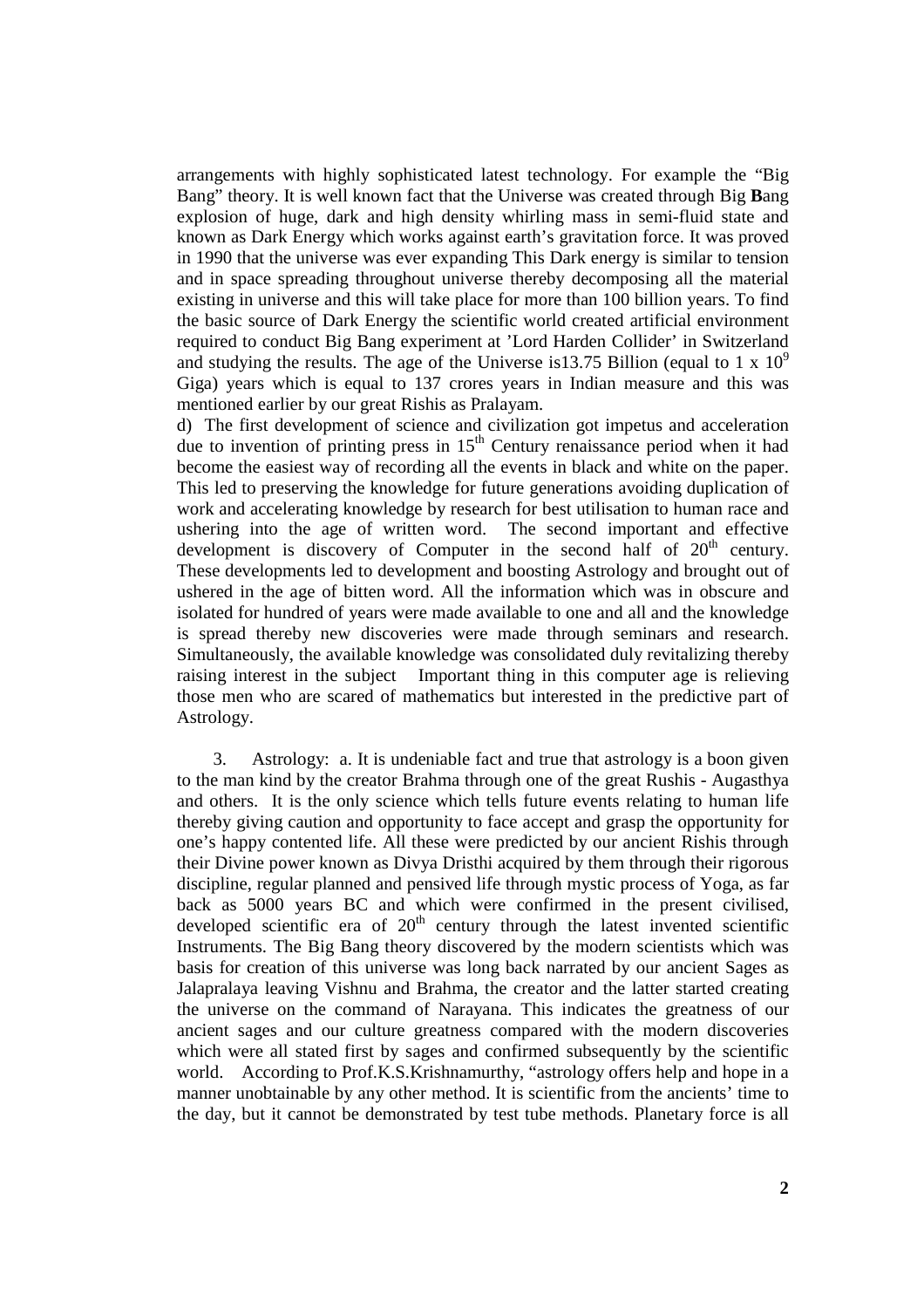arrangements with highly sophisticated latest technology. For example the "Big Bang" theory. It is well known fact that the Universe was created through Big **B**ang explosion of huge, dark and high density whirling mass in semi-fluid state and known as Dark Energy which works against earth's gravitation force. It was proved in 1990 that the universe was ever expanding This Dark energy is similar to tension and in space spreading throughout universe thereby decomposing all the material existing in universe and this will take place for more than 100 billion years. To find the basic source of Dark Energy the scientific world created artificial environment required to conduct Big Bang experiment at 'Lord Harden Collider' in Switzerland and studying the results. The age of the Universe is 13.75 Billion (equal to 1 x  $10^9$ ) Giga) years which is equal to 137 crores years in Indian measure and this was mentioned earlier by our great Rishis as Pralayam.

d) The first development of science and civilization got impetus and acceleration due to invention of printing press in  $15<sup>th</sup>$  Century renaissance period when it had become the easiest way of recording all the events in black and white on the paper. This led to preserving the knowledge for future generations avoiding duplication of work and accelerating knowledge by research for best utilisation to human race and ushering into the age of written word. The second important and effective development is discovery of Computer in the second half of  $20<sup>th</sup>$  century. These developments led to development and boosting Astrology and brought out of ushered in the age of bitten word. All the information which was in obscure and isolated for hundred of years were made available to one and all and the knowledge is spread thereby new discoveries were made through seminars and research. Simultaneously, the available knowledge was consolidated duly revitalizing thereby raising interest in the subject Important thing in this computer age is relieving those men who are scared of mathematics but interested in the predictive part of Astrology.

 3. Astrology: a. It is undeniable fact and true that astrology is a boon given to the man kind by the creator Brahma through one of the great Rushis - Augasthya and others. It is the only science which tells future events relating to human life thereby giving caution and opportunity to face accept and grasp the opportunity for one's happy contented life. All these were predicted by our ancient Rishis through their Divine power known as Divya Dristhi acquired by them through their rigorous discipline, regular planned and pensived life through mystic process of Yoga, as far back as 5000 years BC and which were confirmed in the present civilised, developed scientific era of  $20<sup>th</sup>$  century through the latest invented scientific Instruments. The Big Bang theory discovered by the modern scientists which was basis for creation of this universe was long back narrated by our ancient Sages as Jalapralaya leaving Vishnu and Brahma, the creator and the latter started creating the universe on the command of Narayana. This indicates the greatness of our ancient sages and our culture greatness compared with the modern discoveries which were all stated first by sages and confirmed subsequently by the scientific world. According to Prof.K.S.Krishnamurthy, "astrology offers help and hope in a manner unobtainable by any other method. It is scientific from the ancients' time to the day, but it cannot be demonstrated by test tube methods. Planetary force is all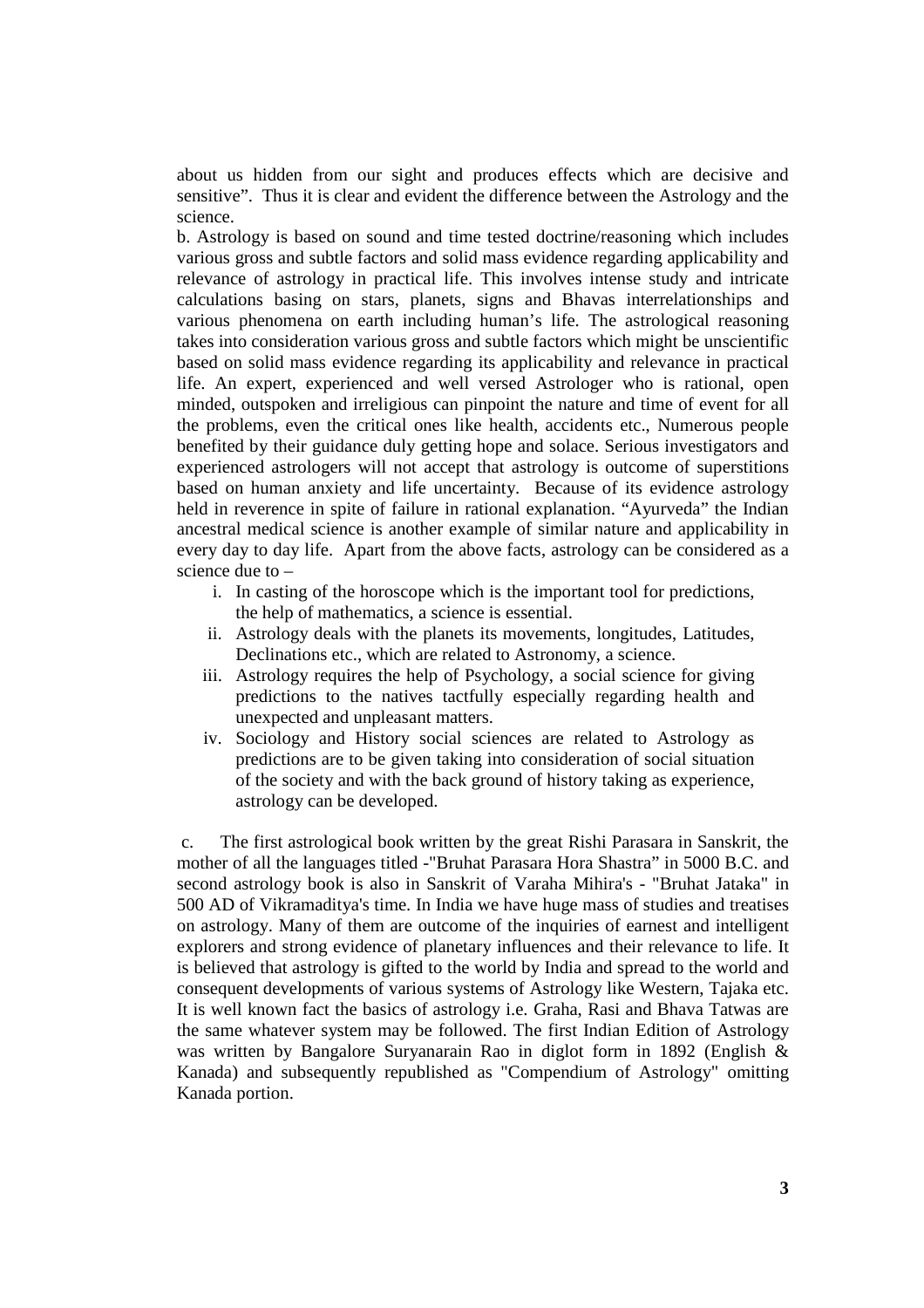about us hidden from our sight and produces effects which are decisive and sensitive". Thus it is clear and evident the difference between the Astrology and the science.

b. Astrology is based on sound and time tested doctrine/reasoning which includes various gross and subtle factors and solid mass evidence regarding applicability and relevance of astrology in practical life. This involves intense study and intricate calculations basing on stars, planets, signs and Bhavas interrelationships and various phenomena on earth including human's life. The astrological reasoning takes into consideration various gross and subtle factors which might be unscientific based on solid mass evidence regarding its applicability and relevance in practical life. An expert, experienced and well versed Astrologer who is rational, open minded, outspoken and irreligious can pinpoint the nature and time of event for all the problems, even the critical ones like health, accidents etc., Numerous people benefited by their guidance duly getting hope and solace. Serious investigators and experienced astrologers will not accept that astrology is outcome of superstitions based on human anxiety and life uncertainty. Because of its evidence astrology held in reverence in spite of failure in rational explanation. "Ayurveda" the Indian ancestral medical science is another example of similar nature and applicability in every day to day life. Apart from the above facts, astrology can be considered as a science due to –

- i. In casting of the horoscope which is the important tool for predictions, the help of mathematics, a science is essential.
- ii. Astrology deals with the planets its movements, longitudes, Latitudes, Declinations etc., which are related to Astronomy, a science.
- iii. Astrology requires the help of Psychology, a social science for giving predictions to the natives tactfully especially regarding health and unexpected and unpleasant matters.
- iv. Sociology and History social sciences are related to Astrology as predictions are to be given taking into consideration of social situation of the society and with the back ground of history taking as experience, astrology can be developed.

 c. The first astrological book written by the great Rishi Parasara in Sanskrit, the mother of all the languages titled -"Bruhat Parasara Hora Shastra" in 5000 B.C. and second astrology book is also in Sanskrit of Varaha Mihira's - "Bruhat Jataka" in 500 AD of Vikramaditya's time. In India we have huge mass of studies and treatises on astrology. Many of them are outcome of the inquiries of earnest and intelligent explorers and strong evidence of planetary influences and their relevance to life. It is believed that astrology is gifted to the world by India and spread to the world and consequent developments of various systems of Astrology like Western, Tajaka etc. It is well known fact the basics of astrology i.e. Graha, Rasi and Bhava Tatwas are the same whatever system may be followed. The first Indian Edition of Astrology was written by Bangalore Suryanarain Rao in diglot form in 1892 (English & Kanada) and subsequently republished as "Compendium of Astrology" omitting Kanada portion.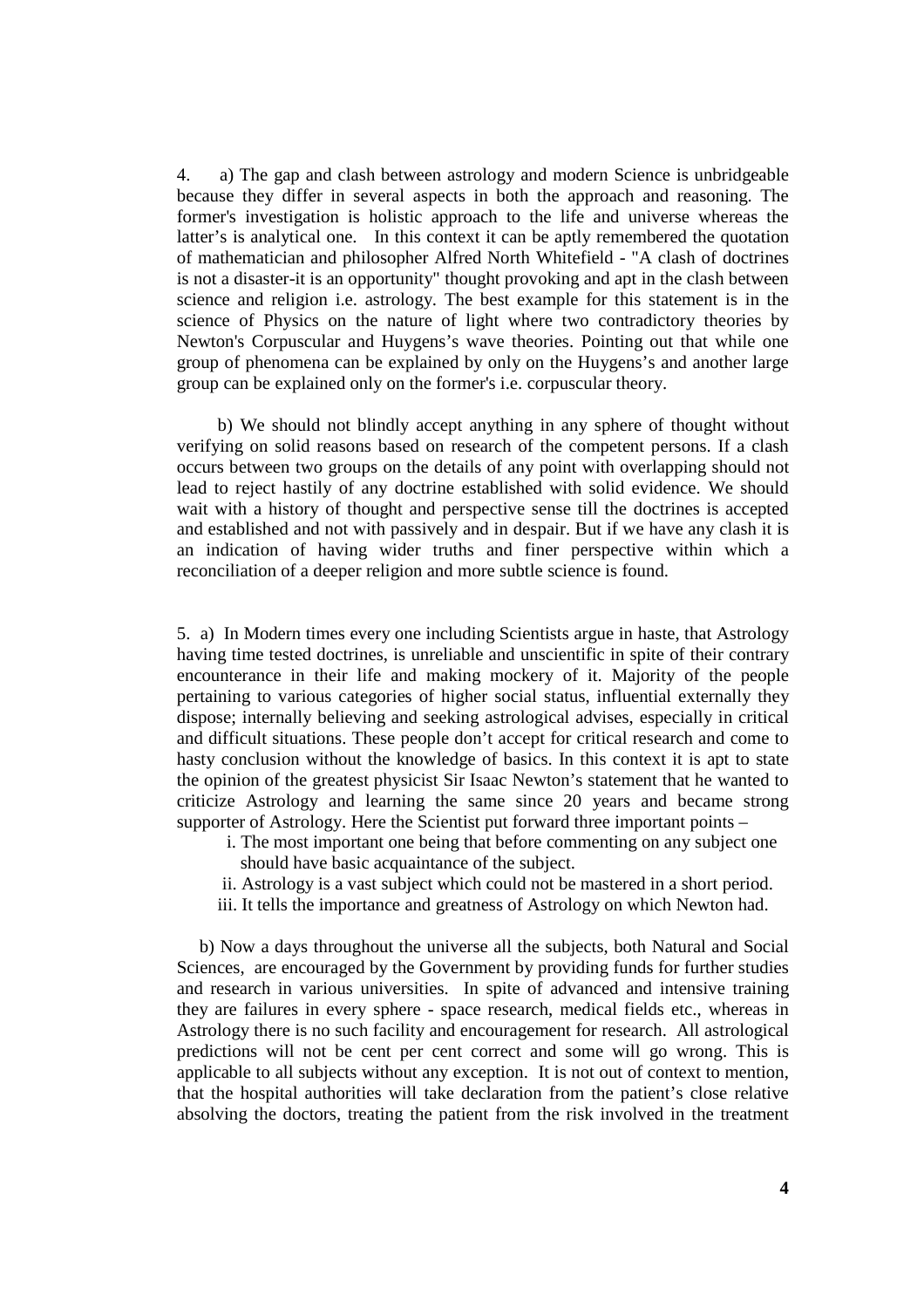4. a) The gap and clash between astrology and modern Science is unbridgeable because they differ in several aspects in both the approach and reasoning. The former's investigation is holistic approach to the life and universe whereas the latter's is analytical one. In this context it can be aptly remembered the quotation of mathematician and philosopher Alfred North Whitefield - "A clash of doctrines is not a disaster-it is an opportunity" thought provoking and apt in the clash between science and religion i.e. astrology. The best example for this statement is in the science of Physics on the nature of light where two contradictory theories by Newton's Corpuscular and Huygens's wave theories. Pointing out that while one group of phenomena can be explained by only on the Huygens's and another large group can be explained only on the former's i.e. corpuscular theory.

 b) We should not blindly accept anything in any sphere of thought without verifying on solid reasons based on research of the competent persons. If a clash occurs between two groups on the details of any point with overlapping should not lead to reject hastily of any doctrine established with solid evidence. We should wait with a history of thought and perspective sense till the doctrines is accepted and established and not with passively and in despair. But if we have any clash it is an indication of having wider truths and finer perspective within which a reconciliation of a deeper religion and more subtle science is found.

5. a) In Modern times every one including Scientists argue in haste, that Astrology having time tested doctrines, is unreliable and unscientific in spite of their contrary encounterance in their life and making mockery of it. Majority of the people pertaining to various categories of higher social status, influential externally they dispose; internally believing and seeking astrological advises, especially in critical and difficult situations. These people don't accept for critical research and come to hasty conclusion without the knowledge of basics. In this context it is apt to state the opinion of the greatest physicist Sir Isaac Newton's statement that he wanted to criticize Astrology and learning the same since 20 years and became strong supporter of Astrology. Here the Scientist put forward three important points –

- i. The most important one being that before commenting on any subject one should have basic acquaintance of the subject.
- ii. Astrology is a vast subject which could not be mastered in a short period.
- iii. It tells the importance and greatness of Astrology on which Newton had.

 b) Now a days throughout the universe all the subjects, both Natural and Social Sciences, are encouraged by the Government by providing funds for further studies and research in various universities. In spite of advanced and intensive training they are failures in every sphere - space research, medical fields etc., whereas in Astrology there is no such facility and encouragement for research. All astrological predictions will not be cent per cent correct and some will go wrong. This is applicable to all subjects without any exception. It is not out of context to mention, that the hospital authorities will take declaration from the patient's close relative absolving the doctors, treating the patient from the risk involved in the treatment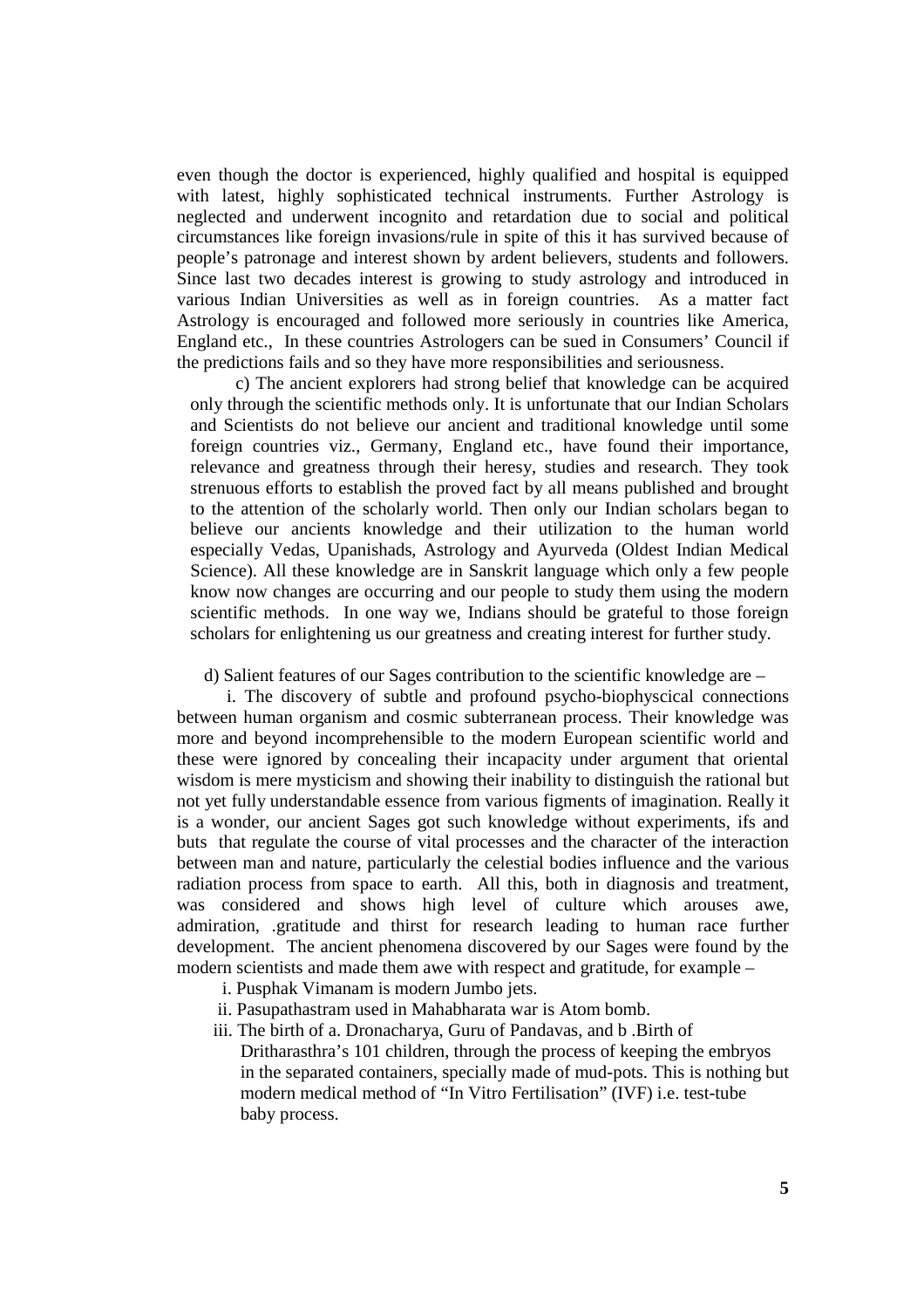even though the doctor is experienced, highly qualified and hospital is equipped with latest, highly sophisticated technical instruments. Further Astrology is neglected and underwent incognito and retardation due to social and political circumstances like foreign invasions/rule in spite of this it has survived because of people's patronage and interest shown by ardent believers, students and followers. Since last two decades interest is growing to study astrology and introduced in various Indian Universities as well as in foreign countries. As a matter fact Astrology is encouraged and followed more seriously in countries like America, England etc., In these countries Astrologers can be sued in Consumers' Council if the predictions fails and so they have more responsibilities and seriousness.

 c) The ancient explorers had strong belief that knowledge can be acquired only through the scientific methods only. It is unfortunate that our Indian Scholars and Scientists do not believe our ancient and traditional knowledge until some foreign countries viz., Germany, England etc., have found their importance, relevance and greatness through their heresy, studies and research. They took strenuous efforts to establish the proved fact by all means published and brought to the attention of the scholarly world. Then only our Indian scholars began to believe our ancients knowledge and their utilization to the human world especially Vedas, Upanishads, Astrology and Ayurveda (Oldest Indian Medical Science). All these knowledge are in Sanskrit language which only a few people know now changes are occurring and our people to study them using the modern scientific methods. In one way we, Indians should be grateful to those foreign scholars for enlightening us our greatness and creating interest for further study.

d) Salient features of our Sages contribution to the scientific knowledge are –

 i. The discovery of subtle and profound psycho-biophyscical connections between human organism and cosmic subterranean process. Their knowledge was more and beyond incomprehensible to the modern European scientific world and these were ignored by concealing their incapacity under argument that oriental wisdom is mere mysticism and showing their inability to distinguish the rational but not yet fully understandable essence from various figments of imagination. Really it is a wonder, our ancient Sages got such knowledge without experiments, ifs and buts that regulate the course of vital processes and the character of the interaction between man and nature, particularly the celestial bodies influence and the various radiation process from space to earth. All this, both in diagnosis and treatment, was considered and shows high level of culture which arouses awe, admiration, .gratitude and thirst for research leading to human race further development. The ancient phenomena discovered by our Sages were found by the modern scientists and made them awe with respect and gratitude, for example –

- i. Pusphak Vimanam is modern Jumbo jets.
- ii. Pasupathastram used in Mahabharata war is Atom bomb.
- iii. The birth of a. Dronacharya, Guru of Pandavas, and b .Birth of
	- Dritharasthra's 101 children, through the process of keeping the embryos in the separated containers, specially made of mud-pots. This is nothing but modern medical method of "In Vitro Fertilisation" (IVF) i.e. test-tube baby process.